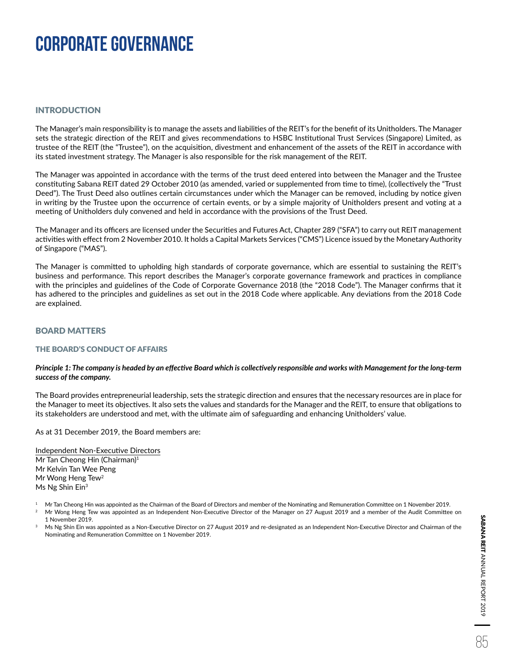### INTRODUCTION

The Manager's main responsibility is to manage the assets and liabilities of the REIT's for the benefit of its Unitholders. The Manager sets the strategic direction of the REIT and gives recommendations to HSBC Institutional Trust Services (Singapore) Limited, as trustee of the REIT (the "Trustee"), on the acquisition, divestment and enhancement of the assets of the REIT in accordance with its stated investment strategy. The Manager is also responsible for the risk management of the REIT.

The Manager was appointed in accordance with the terms of the trust deed entered into between the Manager and the Trustee constituting Sabana REIT dated 29 October 2010 (as amended, varied or supplemented from time to time), (collectively the "Trust Deed"). The Trust Deed also outlines certain circumstances under which the Manager can be removed, including by notice given in writing by the Trustee upon the occurrence of certain events, or by a simple majority of Unitholders present and voting at a meeting of Unitholders duly convened and held in accordance with the provisions of the Trust Deed.

The Manager and its officers are licensed under the Securities and Futures Act, Chapter 289 ("SFA") to carry out REIT management activities with effect from 2 November 2010. It holds a Capital Markets Services ("CMS") Licence issued by the Monetary Authority of Singapore ("MAS").

The Manager is committed to upholding high standards of corporate governance, which are essential to sustaining the REIT's business and performance. This report describes the Manager's corporate governance framework and practices in compliance with the principles and guidelines of the Code of Corporate Governance 2018 (the "2018 Code"). The Manager confirms that it has adhered to the principles and guidelines as set out in the 2018 Code where applicable. Any deviations from the 2018 Code are explained.

### BOARD MATTERS

#### THE BOARD'S CONDUCT OF AFFAIRS

#### *Principle 1: The company is headed by an effective Board which is collectively responsible and works with Management for the long-term success of the company.*

The Board provides entrepreneurial leadership, sets the strategic direction and ensures that the necessary resources are in place for the Manager to meet its objectives. It also sets the values and standards for the Manager and the REIT, to ensure that obligations to its stakeholders are understood and met, with the ultimate aim of safeguarding and enhancing Unitholders' value.

As at 31 December 2019, the Board members are:

Independent Non-Executive Directors Mr Tan Cheong Hin (Chairman)<sup>1</sup> Mr Kelvin Tan Wee Peng Mr Wong Heng Tew<sup>2</sup> Ms Ng Shin Ein<sup>3</sup>

- 1 Mr Tan Cheong Hin was appointed as the Chairman of the Board of Directors and member of the Nominating and Remuneration Committee on 1 November 2019.
- 2 Mr Wong Heng Tew was appointed as an Independent Non-Executive Director of the Manager on 27 August 2019 and a member of the Audit Committee on 1 November 2019.
- Ms Ng Shin Ein was appointed as a Non-Executive Director on 27 August 2019 and re-designated as an Independent Non-Executive Director and Chairman of the Nominating and Remuneration Committee on 1 November 2019.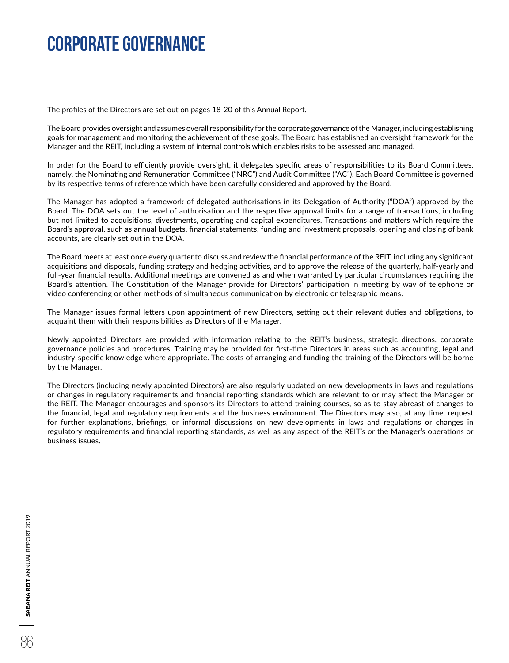The profiles of the Directors are set out on pages 18-20 of this Annual Report.

The Board provides oversight and assumes overall responsibility for the corporate governance of the Manager, including establishing goals for management and monitoring the achievement of these goals. The Board has established an oversight framework for the Manager and the REIT, including a system of internal controls which enables risks to be assessed and managed.

In order for the Board to efficiently provide oversight, it delegates specific areas of responsibilities to its Board Committees, namely, the Nominating and Remuneration Committee ("NRC") and Audit Committee ("AC"). Each Board Committee is governed by its respective terms of reference which have been carefully considered and approved by the Board.

The Manager has adopted a framework of delegated authorisations in its Delegation of Authority ("DOA") approved by the Board. The DOA sets out the level of authorisation and the respective approval limits for a range of transactions, including but not limited to acquisitions, divestments, operating and capital expenditures. Transactions and matters which require the Board's approval, such as annual budgets, financial statements, funding and investment proposals, opening and closing of bank accounts, are clearly set out in the DOA.

The Board meets at least once every quarter to discuss and review the financial performance of the REIT, including any significant acquisitions and disposals, funding strategy and hedging activities, and to approve the release of the quarterly, half-yearly and full-year financial results. Additional meetings are convened as and when warranted by particular circumstances requiring the Board's attention. The Constitution of the Manager provide for Directors' participation in meeting by way of telephone or video conferencing or other methods of simultaneous communication by electronic or telegraphic means.

The Manager issues formal letters upon appointment of new Directors, setting out their relevant duties and obligations, to acquaint them with their responsibilities as Directors of the Manager.

Newly appointed Directors are provided with information relating to the REIT's business, strategic directions, corporate governance policies and procedures. Training may be provided for first-time Directors in areas such as accounting, legal and industry-specific knowledge where appropriate. The costs of arranging and funding the training of the Directors will be borne by the Manager.

The Directors (including newly appointed Directors) are also regularly updated on new developments in laws and regulations or changes in regulatory requirements and financial reporting standards which are relevant to or may affect the Manager or the REIT. The Manager encourages and sponsors its Directors to attend training courses, so as to stay abreast of changes to the financial, legal and regulatory requirements and the business environment. The Directors may also, at any time, request for further explanations, briefings, or informal discussions on new developments in laws and regulations or changes in regulatory requirements and financial reporting standards, as well as any aspect of the REIT's or the Manager's operations or business issues.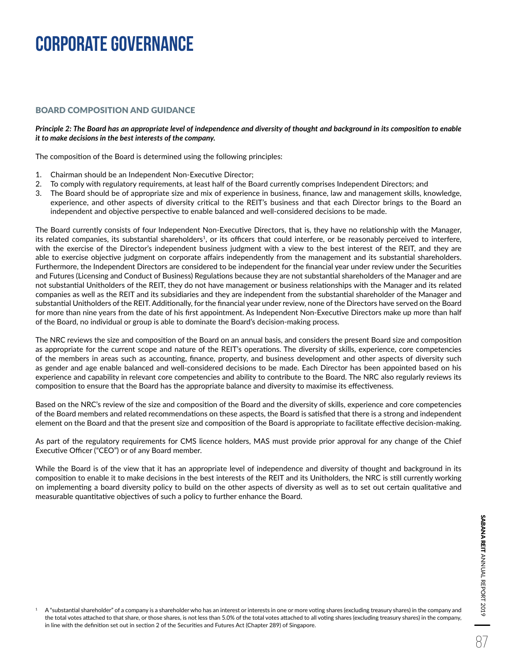### BOARD COMPOSITION AND GUIDANCE

#### *Principle 2: The Board has an appropriate level of independence and diversity of thought and background in its composition to enable it to make decisions in the best interests of the company.*

The composition of the Board is determined using the following principles:

- 1. Chairman should be an Independent Non-Executive Director;
- 2. To comply with regulatory requirements, at least half of the Board currently comprises Independent Directors; and
- 3. The Board should be of appropriate size and mix of experience in business, finance, law and management skills, knowledge, experience, and other aspects of diversity critical to the REIT's business and that each Director brings to the Board an independent and objective perspective to enable balanced and well-considered decisions to be made.

The Board currently consists of four Independent Non-Executive Directors, that is, they have no relationship with the Manager, its related companies, its substantial shareholders<sup>1</sup>, or its officers that could interfere, or be reasonably perceived to interfere, with the exercise of the Director's independent business judgment with a view to the best interest of the REIT, and they are able to exercise objective judgment on corporate affairs independently from the management and its substantial shareholders. Furthermore, the Independent Directors are considered to be independent for the financial year under review under the Securities and Futures (Licensing and Conduct of Business) Regulations because they are not substantial shareholders of the Manager and are not substantial Unitholders of the REIT, they do not have management or business relationships with the Manager and its related companies as well as the REIT and its subsidiaries and they are independent from the substantial shareholder of the Manager and substantial Unitholders of the REIT. Additionally, for the financial year under review, none of the Directors have served on the Board for more than nine years from the date of his first appointment. As Independent Non-Executive Directors make up more than half of the Board, no individual or group is able to dominate the Board's decision-making process.

The NRC reviews the size and composition of the Board on an annual basis, and considers the present Board size and composition as appropriate for the current scope and nature of the REIT's operations. The diversity of skills, experience, core competencies of the members in areas such as accounting, finance, property, and business development and other aspects of diversity such as gender and age enable balanced and well-considered decisions to be made. Each Director has been appointed based on his experience and capability in relevant core competencies and ability to contribute to the Board. The NRC also regularly reviews its composition to ensure that the Board has the appropriate balance and diversity to maximise its effectiveness.

Based on the NRC's review of the size and composition of the Board and the diversity of skills, experience and core competencies of the Board members and related recommendations on these aspects, the Board is satisfied that there is a strong and independent element on the Board and that the present size and composition of the Board is appropriate to facilitate effective decision-making.

As part of the regulatory requirements for CMS licence holders, MAS must provide prior approval for any change of the Chief Executive Officer ("CEO") or of any Board member.

While the Board is of the view that it has an appropriate level of independence and diversity of thought and background in its composition to enable it to make decisions in the best interests of the REIT and its Unitholders, the NRC is still currently working on implementing a board diversity policy to build on the other aspects of diversity as well as to set out certain qualitative and measurable quantitative objectives of such a policy to further enhance the Board.

1 A "substantial shareholder" of a company is a shareholder who has an interest or interests in one or more voting shares (excluding treasury shares) in the company and the total votes attached to that share, or those shares, is not less than 5.0% of the total votes attached to all voting shares (excluding treasury shares) in the company, in line with the definition set out in section 2 of the Securities and Futures Act (Chapter 289) of Singapore.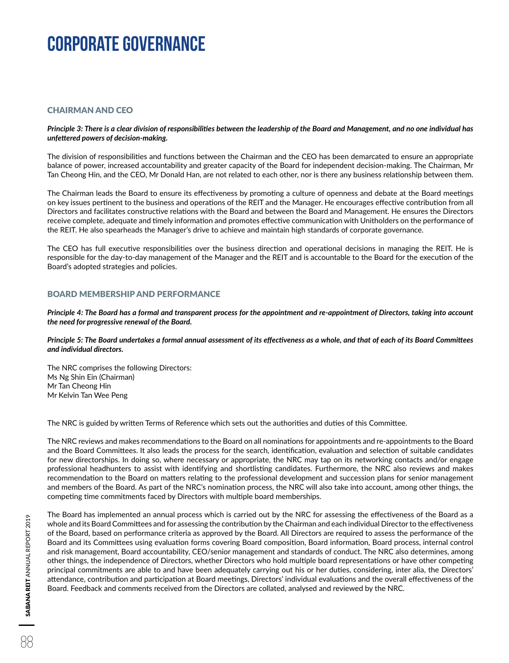### CHAIRMAN AND CEO

#### *Principle 3: There is a clear division of responsibilities between the leadership of the Board and Management, and no one individual has unfettered powers of decision-making.*

The division of responsibilities and functions between the Chairman and the CEO has been demarcated to ensure an appropriate balance of power, increased accountability and greater capacity of the Board for independent decision-making. The Chairman, Mr Tan Cheong Hin, and the CEO, Mr Donald Han, are not related to each other, nor is there any business relationship between them.

The Chairman leads the Board to ensure its effectiveness by promoting a culture of openness and debate at the Board meetings on key issues pertinent to the business and operations of the REIT and the Manager. He encourages effective contribution from all Directors and facilitates constructive relations with the Board and between the Board and Management. He ensures the Directors receive complete, adequate and timely information and promotes effective communication with Unitholders on the performance of the REIT. He also spearheads the Manager's drive to achieve and maintain high standards of corporate governance.

The CEO has full executive responsibilities over the business direction and operational decisions in managing the REIT. He is responsible for the day-to-day management of the Manager and the REIT and is accountable to the Board for the execution of the Board's adopted strategies and policies.

### BOARD MEMBERSHIP AND PERFORMANCE

*Principle 4: The Board has a formal and transparent process for the appointment and re-appointment of Directors, taking into account the need for progressive renewal of the Board.*

*Principle 5: The Board undertakes a formal annual assessment of its effectiveness as a whole, and that of each of its Board Committees and individual directors.*

The NRC comprises the following Directors: Ms Ng Shin Ein (Chairman) Mr Tan Cheong Hin Mr Kelvin Tan Wee Peng

The NRC is guided by written Terms of Reference which sets out the authorities and duties of this Committee.

The NRC reviews and makes recommendations to the Board on all nominations for appointments and re-appointments to the Board and the Board Committees. It also leads the process for the search, identification, evaluation and selection of suitable candidates for new directorships. In doing so, where necessary or appropriate, the NRC may tap on its networking contacts and/or engage professional headhunters to assist with identifying and shortlisting candidates. Furthermore, the NRC also reviews and makes recommendation to the Board on matters relating to the professional development and succession plans for senior management and members of the Board. As part of the NRC's nomination process, the NRC will also take into account, among other things, the competing time commitments faced by Directors with multiple board memberships.

The Board has implemented an annual process which is carried out by the NRC for assessing the effectiveness of the Board as a whole and its Board Committees and for assessing the contribution by the Chairman and each individual Director to the effectiveness of the Board, based on performance criteria as approved by the Board. All Directors are required to assess the performance of the Board and its Committees using evaluation forms covering Board composition, Board information, Board process, internal control and risk management, Board accountability, CEO/senior management and standards of conduct. The NRC also determines, among other things, the independence of Directors, whether Directors who hold multiple board representations or have other competing principal commitments are able to and have been adequately carrying out his or her duties, considering, inter alia, the Directors' attendance, contribution and participation at Board meetings, Directors' individual evaluations and the overall effectiveness of the Board. Feedback and comments received from the Directors are collated, analysed and reviewed by the NRC.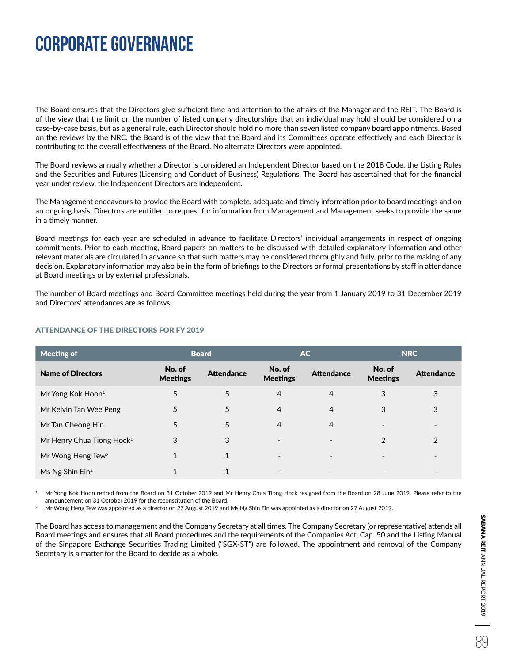The Board ensures that the Directors give sufficient time and attention to the affairs of the Manager and the REIT. The Board is of the view that the limit on the number of listed company directorships that an individual may hold should be considered on a case-by-case basis, but as a general rule, each Director should hold no more than seven listed company board appointments. Based on the reviews by the NRC, the Board is of the view that the Board and its Committees operate effectively and each Director is contributing to the overall effectiveness of the Board. No alternate Directors were appointed.

The Board reviews annually whether a Director is considered an Independent Director based on the 2018 Code, the Listing Rules and the Securities and Futures (Licensing and Conduct of Business) Regulations. The Board has ascertained that for the financial year under review, the Independent Directors are independent.

The Management endeavours to provide the Board with complete, adequate and timely information prior to board meetings and on an ongoing basis. Directors are entitled to request for information from Management and Management seeks to provide the same in a timely manner.

Board meetings for each year are scheduled in advance to facilitate Directors' individual arrangements in respect of ongoing commitments. Prior to each meeting, Board papers on matters to be discussed with detailed explanatory information and other relevant materials are circulated in advance so that such matters may be considered thoroughly and fully, prior to the making of any decision. Explanatory information may also be in the form of briefings to the Directors or formal presentations by staff in attendance at Board meetings or by external professionals.

The number of Board meetings and Board Committee meetings held during the year from 1 January 2019 to 31 December 2019 and Directors' attendances are as follows:

| <b>Meeting of</b>                     | <b>AC</b><br><b>Board</b> |                   | <b>NRC</b>                |                   |                           |                          |
|---------------------------------------|---------------------------|-------------------|---------------------------|-------------------|---------------------------|--------------------------|
| <b>Name of Directors</b>              | No. of<br><b>Meetings</b> | <b>Attendance</b> | No. of<br><b>Meetings</b> | <b>Attendance</b> | No. of<br><b>Meetings</b> | <b>Attendance</b>        |
| Mr Yong Kok Hoon <sup>1</sup>         | 5                         | 5                 | 4                         | 4                 | 3                         | 3                        |
| Mr Kelvin Tan Wee Peng                | 5                         | 5                 | $\overline{4}$            | 4                 | 3                         | 3                        |
| Mr Tan Cheong Hin                     | 5                         | 5                 | $\overline{4}$            | 4                 |                           | $\overline{\phantom{0}}$ |
| Mr Henry Chua Tiong Hock <sup>1</sup> | 3                         | 3                 |                           |                   | $\mathcal{P}$             | $\overline{2}$           |
| Mr Wong Heng Tew <sup>2</sup>         | 1                         |                   | $\overline{\phantom{0}}$  |                   |                           |                          |
| Ms Ng Shin Ein <sup>2</sup>           |                           | 4                 |                           |                   |                           |                          |

### ATTENDANCE OF THE DIRECTORS FOR FY 2019

1 Mr Yong Kok Hoon retired from the Board on 31 October 2019 and Mr Henry Chua Tiong Hock resigned from the Board on 28 June 2019. Please refer to the announcement on 31 October 2019 for the reconstitution of the Board.

2 Mr Wong Heng Tew was appointed as a director on 27 August 2019 and Ms Ng Shin Ein was appointed as a director on 27 August 2019.

The Board has access to management and the Company Secretary at all times. The Company Secretary (or representative) attends all Board meetings and ensures that all Board procedures and the requirements of the Companies Act, Cap. 50 and the Listing Manual of the Singapore Exchange Securities Trading Limited ("SGX-ST") are followed. The appointment and removal of the Company Secretary is a matter for the Board to decide as a whole.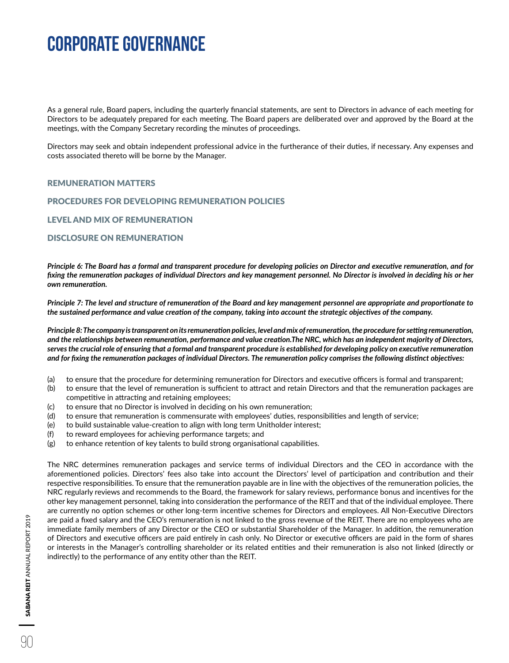As a general rule, Board papers, including the quarterly financial statements, are sent to Directors in advance of each meeting for Directors to be adequately prepared for each meeting. The Board papers are deliberated over and approved by the Board at the meetings, with the Company Secretary recording the minutes of proceedings.

Directors may seek and obtain independent professional advice in the furtherance of their duties, if necessary. Any expenses and costs associated thereto will be borne by the Manager.

#### REMUNERATION MATTERS

#### PROCEDURES FOR DEVELOPING REMUNERATION POLICIES

LEVEL AND MIX OF REMUNERATION

#### DISCLOSURE ON REMUNERATION

*Principle 6: The Board has a formal and transparent procedure for developing policies on Director and executive remuneration, and for fixing the remuneration packages of individual Directors and key management personnel. No Director is involved in deciding his or her own remuneration.*

*Principle 7: The level and structure of remuneration of the Board and key management personnel are appropriate and proportionate to the sustained performance and value creation of the company, taking into account the strategic objectives of the company.*

*Principle 8: The company is transparent on its remuneration policies, level and mix of remuneration, the procedure for setting remuneration, and the relationships between remuneration, performance and value creation.The NRC, which has an independent majority of Directors, serves the crucial role of ensuring that a formal and transparent procedure is established for developing policy on executive remuneration and for fixing the remuneration packages of individual Directors. The remuneration policy comprises the following distinct objectives:*

- (a) to ensure that the procedure for determining remuneration for Directors and executive officers is formal and transparent;
- (b) to ensure that the level of remuneration is sufficient to attract and retain Directors and that the remuneration packages are competitive in attracting and retaining employees;
- (c) to ensure that no Director is involved in deciding on his own remuneration;
- (d) to ensure that remuneration is commensurate with employees' duties, responsibilities and length of service;
- (e) to build sustainable value-creation to align with long term Unitholder interest;
- (f) to reward employees for achieving performance targets; and
- (g) to enhance retention of key talents to build strong organisational capabilities.

The NRC determines remuneration packages and service terms of individual Directors and the CEO in accordance with the aforementioned policies. Directors' fees also take into account the Directors' level of participation and contribution and their respective responsibilities. To ensure that the remuneration payable are in line with the objectives of the remuneration policies, the NRC regularly reviews and recommends to the Board, the framework for salary reviews, performance bonus and incentives for the other key management personnel, taking into consideration the performance of the REIT and that of the individual employee. There are currently no option schemes or other long-term incentive schemes for Directors and employees. All Non-Executive Directors are paid a fixed salary and the CEO's remuneration is not linked to the gross revenue of the REIT. There are no employees who are immediate family members of any Director or the CEO or substantial Shareholder of the Manager. In addition, the remuneration of Directors and executive officers are paid entirely in cash only. No Director or executive officers are paid in the form of shares or interests in the Manager's controlling shareholder or its related entities and their remuneration is also not linked (directly or indirectly) to the performance of any entity other than the REIT.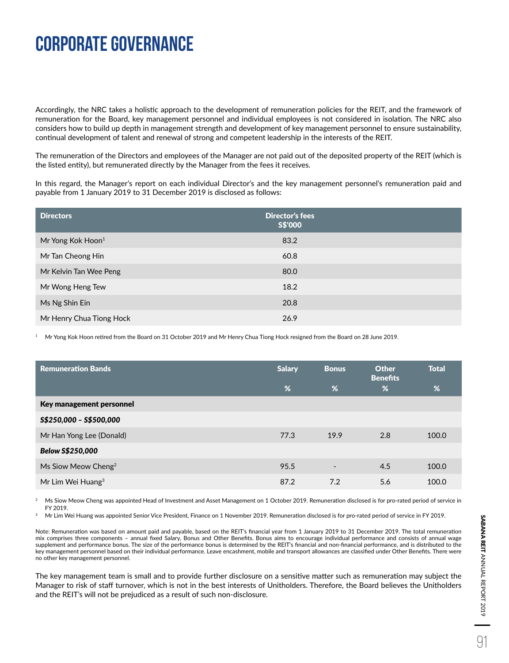Accordingly, the NRC takes a holistic approach to the development of remuneration policies for the REIT, and the framework of remuneration for the Board, key management personnel and individual employees is not considered in isolation. The NRC also considers how to build up depth in management strength and development of key management personnel to ensure sustainability, continual development of talent and renewal of strong and competent leadership in the interests of the REIT.

The remuneration of the Directors and employees of the Manager are not paid out of the deposited property of the REIT (which is the listed entity), but remunerated directly by the Manager from the fees it receives.

In this regard, the Manager's report on each individual Director's and the key management personnel's remuneration paid and payable from 1 January 2019 to 31 December 2019 is disclosed as follows:

| <b>Directors</b>              | <b>Director's fees</b><br>S\$'000 |
|-------------------------------|-----------------------------------|
| Mr Yong Kok Hoon <sup>1</sup> | 83.2                              |
| Mr Tan Cheong Hin             | 60.8                              |
| Mr Kelvin Tan Wee Peng        | 80.0                              |
| Mr Wong Heng Tew              | 18.2                              |
| Ms Ng Shin Ein                | 20.8                              |
| Mr Henry Chua Tiong Hock      | 26.9                              |

1 Mr Yong Kok Hoon retired from the Board on 31 October 2019 and Mr Henry Chua Tiong Hock resigned from the Board on 28 June 2019.

| <b>Remuneration Bands</b>       | <b>Salary</b> | <b>Bonus</b>             | <b>Other</b><br><b>Benefits</b> | <b>Total</b>    |
|---------------------------------|---------------|--------------------------|---------------------------------|-----------------|
|                                 | %             | %                        | %                               | $\overline{\%}$ |
| Key management personnel        |               |                          |                                 |                 |
| S\$250,000 - S\$500,000         |               |                          |                                 |                 |
| Mr Han Yong Lee (Donald)        | 77.3          | 19.9                     | 2.8                             | 100.0           |
| Below S\$250,000                |               |                          |                                 |                 |
| Ms Siow Meow Cheng <sup>2</sup> | 95.5          | $\overline{\phantom{a}}$ | 4.5                             | 100.0           |
| Mr Lim Wei Huang $3$            | 87.2          | 7.2                      | 5.6                             | 100.0           |

2 Ms Siow Meow Cheng was appointed Head of Investment and Asset Management on 1 October 2019. Remuneration disclosed is for pro-rated period of service in FY 2019.

Mr Lim Wei Huang was appointed Senior Vice President, Finance on 1 November 2019. Remuneration disclosed is for pro-rated period of service in FY 2019.

Note: Remuneration was based on amount paid and payable, based on the REIT's financial year from 1 January 2019 to 31 December 2019. The total remuneration mix comprises three components – annual fixed Salary, Bonus and Other Benefits. Bonus aims to encourage individual performance and consists of annual wage supplement and performance bonus. The size of the performance bonus is determined by the REIT's financial and non-financial performance, and is distributed to the key management personnel based on their individual performance. Leave encashment, mobile and transport allowances are classified under Other Benefits. There were no other key management personnel.

The key management team is small and to provide further disclosure on a sensitive matter such as remuneration may subject the Manager to risk of staff turnover, which is not in the best interests of Unitholders. Therefore, the Board believes the Unitholders and the REIT's will not be prejudiced as a result of such non-disclosure.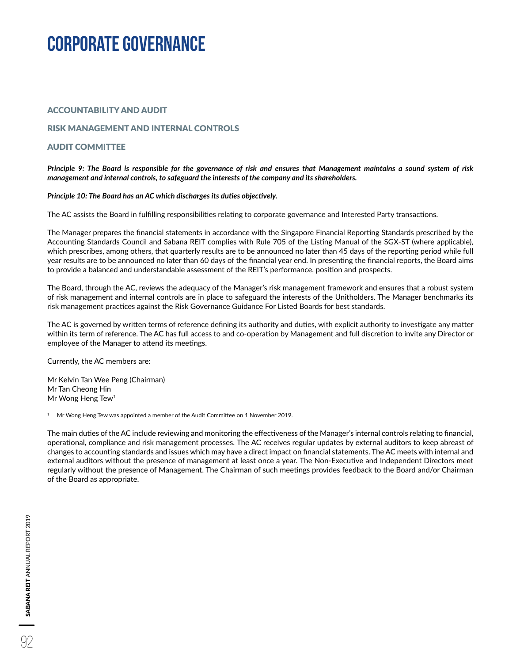### ACCOUNTABILITY AND AUDIT

### RISK MANAGEMENT AND INTERNAL CONTROLS

### AUDIT COMMITTEE

#### *Principle 9: The Board is responsible for the governance of risk and ensures that Management maintains a sound system of risk management and internal controls, to safeguard the interests of the company and its shareholders.*

#### *Principle 10: The Board has an AC which discharges its duties objectively.*

The AC assists the Board in fulfilling responsibilities relating to corporate governance and Interested Party transactions.

The Manager prepares the financial statements in accordance with the Singapore Financial Reporting Standards prescribed by the Accounting Standards Council and Sabana REIT complies with Rule 705 of the Listing Manual of the SGX-ST (where applicable), which prescribes, among others, that quarterly results are to be announced no later than 45 days of the reporting period while full year results are to be announced no later than 60 days of the financial year end. In presenting the financial reports, the Board aims to provide a balanced and understandable assessment of the REIT's performance, position and prospects.

The Board, through the AC, reviews the adequacy of the Manager's risk management framework and ensures that a robust system of risk management and internal controls are in place to safeguard the interests of the Unitholders. The Manager benchmarks its risk management practices against the Risk Governance Guidance For Listed Boards for best standards.

The AC is governed by written terms of reference defining its authority and duties, with explicit authority to investigate any matter within its term of reference. The AC has full access to and co-operation by Management and full discretion to invite any Director or employee of the Manager to attend its meetings.

Currently, the AC members are:

Mr Kelvin Tan Wee Peng (Chairman) Mr Tan Cheong Hin Mr Wong Heng Tew<sup>1</sup>

 $1$  Mr Wong Heng Tew was appointed a member of the Audit Committee on 1 November 2019.

The main duties of the AC include reviewing and monitoring the effectiveness of the Manager's internal controls relating to financial, operational, compliance and risk management processes. The AC receives regular updates by external auditors to keep abreast of changes to accounting standards and issues which may have a direct impact on financial statements. The AC meets with internal and external auditors without the presence of management at least once a year. The Non-Executive and Independent Directors meet regularly without the presence of Management. The Chairman of such meetings provides feedback to the Board and/or Chairman of the Board as appropriate.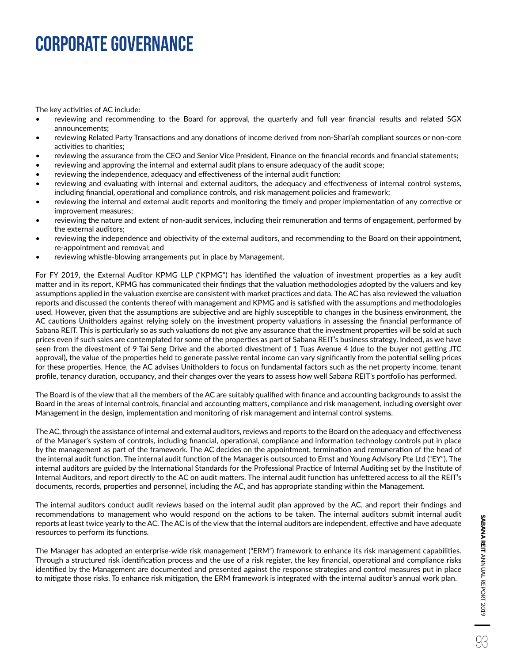The key activities of AC include:

- reviewing and recommending to the Board for approval, the quarterly and full year financial results and related SGX announcements;
- reviewing Related Party Transactions and any donations of income derived from non-Shari'ah compliant sources or non-core activities to charities;
- reviewing the assurance from the CEO and Senior Vice President, Finance on the financial records and financial statements;
- reviewing and approving the internal and external audit plans to ensure adequacy of the audit scope;
- reviewing the independence, adequacy and effectiveness of the internal audit function;
- reviewing and evaluating with internal and external auditors, the adequacy and effectiveness of internal control systems, including financial, operational and compliance controls, and risk management policies and framework;
- reviewing the internal and external audit reports and monitoring the timely and proper implementation of any corrective or improvement measures;
- reviewing the nature and extent of non-audit services, including their remuneration and terms of engagement, performed by the external auditors;
- reviewing the independence and objectivity of the external auditors, and recommending to the Board on their appointment, re-appointment and removal; and
- reviewing whistle-blowing arrangements put in place by Management.

For FY 2019, the External Auditor KPMG LLP ("KPMG") has identified the valuation of investment properties as a key audit matter and in its report, KPMG has communicated their findings that the valuation methodologies adopted by the valuers and key assumptions applied in the valuation exercise are consistent with market practices and data. The AC has also reviewed the valuation reports and discussed the contents thereof with management and KPMG and is satisfied with the assumptions and methodologies used. However, given that the assumptions are subjective and are highly susceptible to changes in the business environment, the AC cautions Unitholders against relying solely on the investment property valuations in assessing the financial performance of Sabana REIT. This is particularly so as such valuations do not give any assurance that the investment properties will be sold at such prices even if such sales are contemplated for some of the properties as part of Sabana REIT's business strategy. Indeed, as we have seen from the divestment of 9 Tai Seng Drive and the aborted divestment of 1 Tuas Avenue 4 (due to the buyer not getting JTC approval), the value of the properties held to generate passive rental income can vary significantly from the potential selling prices for these properties. Hence, the AC advises Unitholders to focus on fundamental factors such as the net property income, tenant profile, tenancy duration, occupancy, and their changes over the years to assess how well Sabana REIT's portfolio has performed.

The Board is of the view that all the members of the AC are suitably qualified with finance and accounting backgrounds to assist the Board in the areas of internal controls, financial and accounting matters, compliance and risk management, including oversight over Management in the design, implementation and monitoring of risk management and internal control systems.

The AC, through the assistance of internal and external auditors, reviews and reports to the Board on the adequacy and effectiveness of the Manager's system of controls, including financial, operational, compliance and information technology controls put in place by the management as part of the framework. The AC decides on the appointment, termination and remuneration of the head of the internal audit function. The internal audit function of the Manager is outsourced to Ernst and Young Advisory Pte Ltd ("EY"). The internal auditors are guided by the International Standards for the Professional Practice of Internal Auditing set by the Institute of Internal Auditors, and report directly to the AC on audit matters. The internal audit function has unfettered access to all the REIT's documents, records, properties and personnel, including the AC, and has appropriate standing within the Management.

The internal auditors conduct audit reviews based on the internal audit plan approved by the AC, and report their findings and recommendations to management who would respond on the actions to be taken. The internal auditors submit internal audit reports at least twice yearly to the AC. The AC is of the view that the internal auditors are independent, effective and have adequate resources to perform its functions.

The Manager has adopted an enterprise-wide risk management ("ERM") framework to enhance its risk management capabilities. Through a structured risk identification process and the use of a risk register, the key financial, operational and compliance risks identified by the Management are documented and presented against the response strategies and control measures put in place to mitigate those risks. To enhance risk mitigation, the ERM framework is integrated with the internal auditor's annual work plan.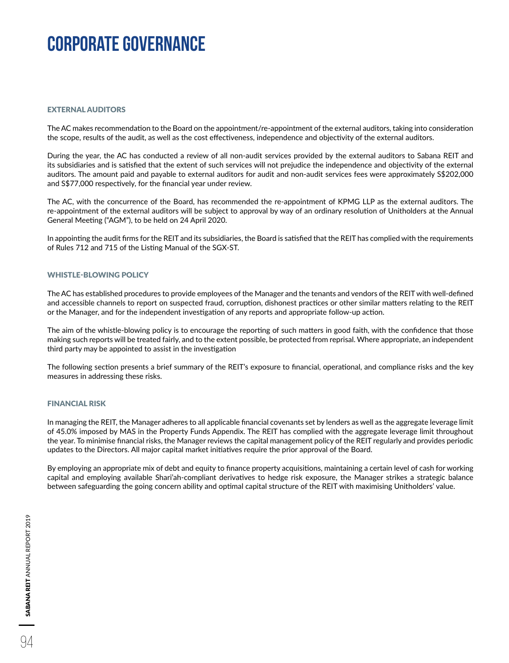#### EXTERNAL AUDITORS

The AC makes recommendation to the Board on the appointment/re-appointment of the external auditors, taking into consideration the scope, results of the audit, as well as the cost effectiveness, independence and objectivity of the external auditors.

During the year, the AC has conducted a review of all non-audit services provided by the external auditors to Sabana REIT and its subsidiaries and is satisfied that the extent of such services will not prejudice the independence and objectivity of the external auditors. The amount paid and payable to external auditors for audit and non-audit services fees were approximately S\$202,000 and S\$77,000 respectively, for the financial year under review.

The AC, with the concurrence of the Board, has recommended the re-appointment of KPMG LLP as the external auditors. The re-appointment of the external auditors will be subject to approval by way of an ordinary resolution of Unitholders at the Annual General Meeting ("AGM"), to be held on 24 April 2020.

In appointing the audit firms for the REIT and its subsidiaries, the Board is satisfied that the REIT has complied with the requirements of Rules 712 and 715 of the Listing Manual of the SGX-ST.

#### WHISTLE-BLOWING POLICY

The AC has established procedures to provide employees of the Manager and the tenants and vendors of the REIT with well-defined and accessible channels to report on suspected fraud, corruption, dishonest practices or other similar matters relating to the REIT or the Manager, and for the independent investigation of any reports and appropriate follow-up action.

The aim of the whistle-blowing policy is to encourage the reporting of such matters in good faith, with the confidence that those making such reports will be treated fairly, and to the extent possible, be protected from reprisal. Where appropriate, an independent third party may be appointed to assist in the investigation

The following section presents a brief summary of the REIT's exposure to financial, operational, and compliance risks and the key measures in addressing these risks.

#### FINANCIAL RISK

In managing the REIT, the Manager adheres to all applicable financial covenants set by lenders as well as the aggregate leverage limit of 45.0% imposed by MAS in the Property Funds Appendix. The REIT has complied with the aggregate leverage limit throughout the year. To minimise financial risks, the Manager reviews the capital management policy of the REIT regularly and provides periodic updates to the Directors. All major capital market initiatives require the prior approval of the Board.

By employing an appropriate mix of debt and equity to finance property acquisitions, maintaining a certain level of cash for working capital and employing available Shari'ah-compliant derivatives to hedge risk exposure, the Manager strikes a strategic balance between safeguarding the going concern ability and optimal capital structure of the REIT with maximising Unitholders' value.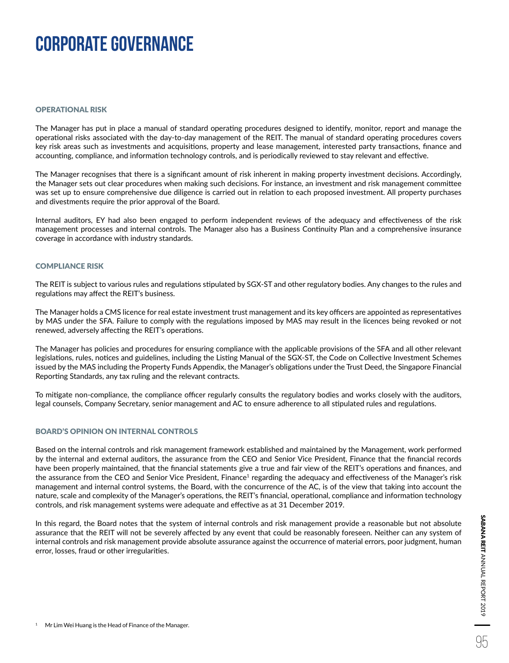#### OPERATIONAL RISK

The Manager has put in place a manual of standard operating procedures designed to identify, monitor, report and manage the operational risks associated with the day-to-day management of the REIT. The manual of standard operating procedures covers key risk areas such as investments and acquisitions, property and lease management, interested party transactions, finance and accounting, compliance, and information technology controls, and is periodically reviewed to stay relevant and effective.

The Manager recognises that there is a significant amount of risk inherent in making property investment decisions. Accordingly, the Manager sets out clear procedures when making such decisions. For instance, an investment and risk management committee was set up to ensure comprehensive due diligence is carried out in relation to each proposed investment. All property purchases and divestments require the prior approval of the Board.

Internal auditors, EY had also been engaged to perform independent reviews of the adequacy and effectiveness of the risk management processes and internal controls. The Manager also has a Business Continuity Plan and a comprehensive insurance coverage in accordance with industry standards.

#### COMPLIANCE RISK

The REIT is subject to various rules and regulations stipulated by SGX-ST and other regulatory bodies. Any changes to the rules and regulations may affect the REIT's business.

The Manager holds a CMS licence for real estate investment trust management and its key officers are appointed as representatives by MAS under the SFA. Failure to comply with the regulations imposed by MAS may result in the licences being revoked or not renewed, adversely affecting the REIT's operations.

The Manager has policies and procedures for ensuring compliance with the applicable provisions of the SFA and all other relevant legislations, rules, notices and guidelines, including the Listing Manual of the SGX-ST, the Code on Collective Investment Schemes issued by the MAS including the Property Funds Appendix, the Manager's obligations under the Trust Deed, the Singapore Financial Reporting Standards, any tax ruling and the relevant contracts.

To mitigate non-compliance, the compliance officer regularly consults the regulatory bodies and works closely with the auditors, legal counsels, Company Secretary, senior management and AC to ensure adherence to all stipulated rules and regulations.

#### BOARD'S OPINION ON INTERNAL CONTROLS

Based on the internal controls and risk management framework established and maintained by the Management, work performed by the internal and external auditors, the assurance from the CEO and Senior Vice President, Finance that the financial records have been properly maintained, that the financial statements give a true and fair view of the REIT's operations and finances, and the assurance from the CEO and Senior Vice President, Finance<sup>1</sup> regarding the adequacy and effectiveness of the Manager's risk management and internal control systems, the Board, with the concurrence of the AC, is of the view that taking into account the nature, scale and complexity of the Manager's operations, the REIT's financial, operational, compliance and information technology controls, and risk management systems were adequate and effective as at 31 December 2019.

In this regard, the Board notes that the system of internal controls and risk management provide a reasonable but not absolute assurance that the REIT will not be severely affected by any event that could be reasonably foreseen. Neither can any system of internal controls and risk management provide absolute assurance against the occurrence of material errors, poor judgment, human error, losses, fraud or other irregularities.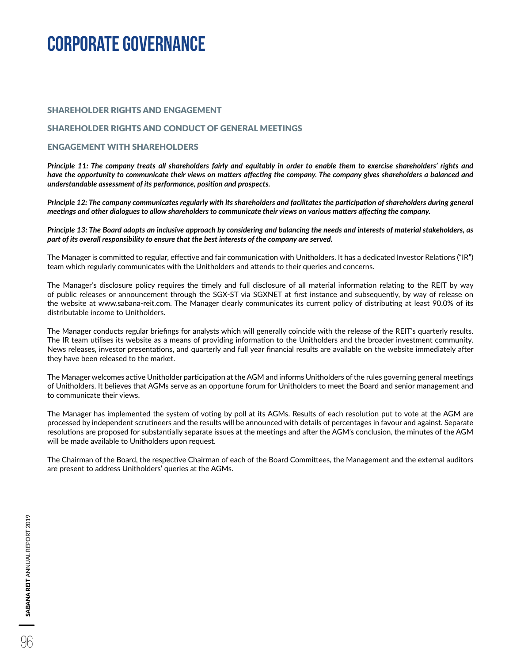#### SHAREHOLDER RIGHTS AND ENGAGEMENT

#### SHAREHOLDER RIGHTS AND CONDUCT OF GENERAL MEETINGS

### ENGAGEMENT WITH SHAREHOLDERS

*Principle 11: The company treats all shareholders fairly and equitably in order to enable them to exercise shareholders' rights and have the opportunity to communicate their views on matters affecting the company. The company gives shareholders a balanced and understandable assessment of its performance, position and prospects.*

*Principle 12: The company communicates regularly with its shareholders and facilitates the participation of shareholders during general meetings and other dialogues to allow shareholders to communicate their views on various matters affecting the company.*

*Principle 13: The Board adopts an inclusive approach by considering and balancing the needs and interests of material stakeholders, as part of its overall responsibility to ensure that the best interests of the company are served.*

The Manager is committed to regular, effective and fair communication with Unitholders. It has a dedicated Investor Relations ("IR") team which regularly communicates with the Unitholders and attends to their queries and concerns.

The Manager's disclosure policy requires the timely and full disclosure of all material information relating to the REIT by way of public releases or announcement through the SGX-ST via SGXNET at first instance and subsequently, by way of release on the website at www.sabana-reit.com. The Manager clearly communicates its current policy of distributing at least 90.0% of its distributable income to Unitholders.

The Manager conducts regular briefings for analysts which will generally coincide with the release of the REIT's quarterly results. The IR team utilises its website as a means of providing information to the Unitholders and the broader investment community. News releases, investor presentations, and quarterly and full year financial results are available on the website immediately after they have been released to the market.

The Manager welcomes active Unitholder participation at the AGM and informs Unitholders of the rules governing general meetings of Unitholders. It believes that AGMs serve as an opportune forum for Unitholders to meet the Board and senior management and to communicate their views.

The Manager has implemented the system of voting by poll at its AGMs. Results of each resolution put to vote at the AGM are processed by independent scrutineers and the results will be announced with details of percentages in favour and against. Separate resolutions are proposed for substantially separate issues at the meetings and after the AGM's conclusion, the minutes of the AGM will be made available to Unitholders upon request.

The Chairman of the Board, the respective Chairman of each of the Board Committees, the Management and the external auditors are present to address Unitholders' queries at the AGMs.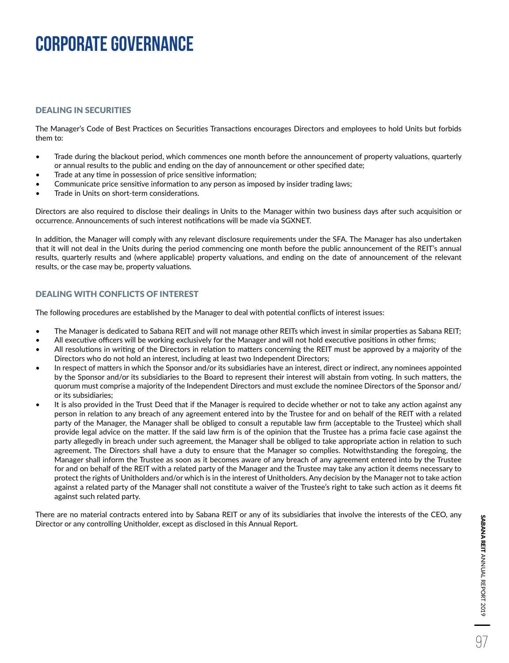### DEALING IN SECURITIES

The Manager's Code of Best Practices on Securities Transactions encourages Directors and employees to hold Units but forbids them to:

- Trade during the blackout period, which commences one month before the announcement of property valuations, quarterly or annual results to the public and ending on the day of announcement or other specified date;
- Trade at any time in possession of price sensitive information;
- Communicate price sensitive information to any person as imposed by insider trading laws;
- Trade in Units on short-term considerations.

Directors are also required to disclose their dealings in Units to the Manager within two business days after such acquisition or occurrence. Announcements of such interest notifications will be made via SGXNET.

In addition, the Manager will comply with any relevant disclosure requirements under the SFA. The Manager has also undertaken that it will not deal in the Units during the period commencing one month before the public announcement of the REIT's annual results, quarterly results and (where applicable) property valuations, and ending on the date of announcement of the relevant results, or the case may be, property valuations.

### DEALING WITH CONFLICTS OF INTEREST

The following procedures are established by the Manager to deal with potential conflicts of interest issues:

- The Manager is dedicated to Sabana REIT and will not manage other REITs which invest in similar properties as Sabana REIT;
- All executive officers will be working exclusively for the Manager and will not hold executive positions in other firms;
- All resolutions in writing of the Directors in relation to matters concerning the REIT must be approved by a majority of the Directors who do not hold an interest, including at least two Independent Directors;
- In respect of matters in which the Sponsor and/or its subsidiaries have an interest, direct or indirect, any nominees appointed by the Sponsor and/or its subsidiaries to the Board to represent their interest will abstain from voting. In such matters, the quorum must comprise a majority of the Independent Directors and must exclude the nominee Directors of the Sponsor and/ or its subsidiaries;
- It is also provided in the Trust Deed that if the Manager is required to decide whether or not to take any action against any person in relation to any breach of any agreement entered into by the Trustee for and on behalf of the REIT with a related party of the Manager, the Manager shall be obliged to consult a reputable law firm (acceptable to the Trustee) which shall provide legal advice on the matter. If the said law firm is of the opinion that the Trustee has a prima facie case against the party allegedly in breach under such agreement, the Manager shall be obliged to take appropriate action in relation to such agreement. The Directors shall have a duty to ensure that the Manager so complies. Notwithstanding the foregoing, the Manager shall inform the Trustee as soon as it becomes aware of any breach of any agreement entered into by the Trustee for and on behalf of the REIT with a related party of the Manager and the Trustee may take any action it deems necessary to protect the rights of Unitholders and/or which is in the interest of Unitholders. Any decision by the Manager not to take action against a related party of the Manager shall not constitute a waiver of the Trustee's right to take such action as it deems fit against such related party.

There are no material contracts entered into by Sabana REIT or any of its subsidiaries that involve the interests of the CEO, any Director or any controlling Unitholder, except as disclosed in this Annual Report.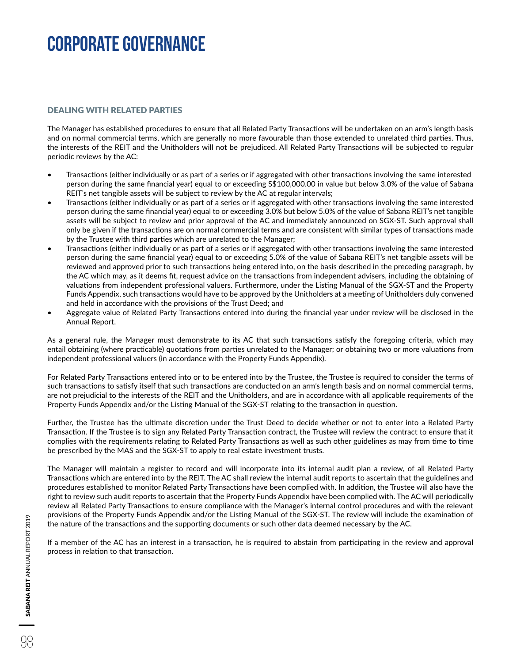### DEALING WITH RELATED PARTIES

The Manager has established procedures to ensure that all Related Party Transactions will be undertaken on an arm's length basis and on normal commercial terms, which are generally no more favourable than those extended to unrelated third parties. Thus, the interests of the REIT and the Unitholders will not be prejudiced. All Related Party Transactions will be subjected to regular periodic reviews by the AC:

- Transactions (either individually or as part of a series or if aggregated with other transactions involving the same interested person during the same financial year) equal to or exceeding S\$100,000.00 in value but below 3.0% of the value of Sabana REIT's net tangible assets will be subject to review by the AC at regular intervals;
- Transactions (either individually or as part of a series or if aggregated with other transactions involving the same interested person during the same financial year) equal to or exceeding 3.0% but below 5.0% of the value of Sabana REIT's net tangible assets will be subject to review and prior approval of the AC and immediately announced on SGX-ST. Such approval shall only be given if the transactions are on normal commercial terms and are consistent with similar types of transactions made by the Trustee with third parties which are unrelated to the Manager;
- Transactions (either individually or as part of a series or if aggregated with other transactions involving the same interested person during the same financial year) equal to or exceeding 5.0% of the value of Sabana REIT's net tangible assets will be reviewed and approved prior to such transactions being entered into, on the basis described in the preceding paragraph, by the AC which may, as it deems fit, request advice on the transactions from independent advisers, including the obtaining of valuations from independent professional valuers. Furthermore, under the Listing Manual of the SGX-ST and the Property Funds Appendix, such transactions would have to be approved by the Unitholders at a meeting of Unitholders duly convened and held in accordance with the provisions of the Trust Deed; and
- Aggregate value of Related Party Transactions entered into during the financial year under review will be disclosed in the Annual Report.

As a general rule, the Manager must demonstrate to its AC that such transactions satisfy the foregoing criteria, which may entail obtaining (where practicable) quotations from parties unrelated to the Manager; or obtaining two or more valuations from independent professional valuers (in accordance with the Property Funds Appendix).

For Related Party Transactions entered into or to be entered into by the Trustee, the Trustee is required to consider the terms of such transactions to satisfy itself that such transactions are conducted on an arm's length basis and on normal commercial terms, are not prejudicial to the interests of the REIT and the Unitholders, and are in accordance with all applicable requirements of the Property Funds Appendix and/or the Listing Manual of the SGX-ST relating to the transaction in question.

Further, the Trustee has the ultimate discretion under the Trust Deed to decide whether or not to enter into a Related Party Transaction. If the Trustee is to sign any Related Party Transaction contract, the Trustee will review the contract to ensure that it complies with the requirements relating to Related Party Transactions as well as such other guidelines as may from time to time be prescribed by the MAS and the SGX-ST to apply to real estate investment trusts.

The Manager will maintain a register to record and will incorporate into its internal audit plan a review, of all Related Party Transactions which are entered into by the REIT. The AC shall review the internal audit reports to ascertain that the guidelines and procedures established to monitor Related Party Transactions have been complied with. In addition, the Trustee will also have the right to review such audit reports to ascertain that the Property Funds Appendix have been complied with. The AC will periodically review all Related Party Transactions to ensure compliance with the Manager's internal control procedures and with the relevant provisions of the Property Funds Appendix and/or the Listing Manual of the SGX-ST. The review will include the examination of the nature of the transactions and the supporting documents or such other data deemed necessary by the AC.

If a member of the AC has an interest in a transaction, he is required to abstain from participating in the review and approval process in relation to that transaction.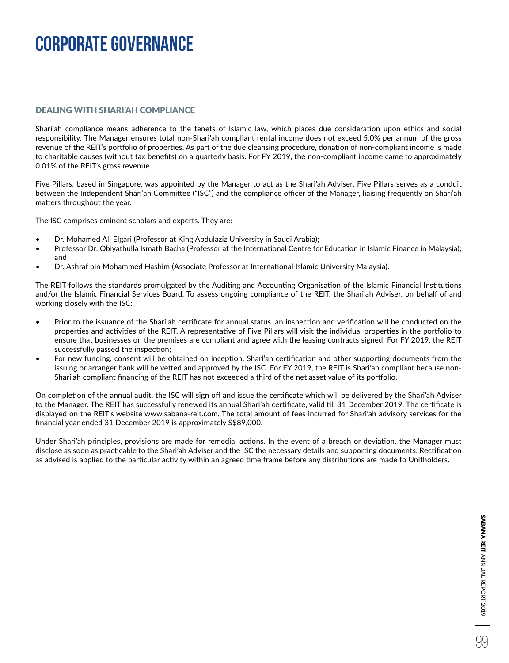### DEALING WITH SHARI'AH COMPLIANCE

Shari'ah compliance means adherence to the tenets of Islamic law, which places due consideration upon ethics and social responsibility. The Manager ensures total non-Shari'ah compliant rental income does not exceed 5.0% per annum of the gross revenue of the REIT's portfolio of properties. As part of the due cleansing procedure, donation of non-compliant income is made to charitable causes (without tax benefits) on a quarterly basis. For FY 2019, the non-compliant income came to approximately 0.01% of the REIT's gross revenue.

Five Pillars, based in Singapore, was appointed by the Manager to act as the Shari'ah Adviser. Five Pillars serves as a conduit between the Independent Shari'ah Committee ("ISC") and the compliance officer of the Manager, liaising frequently on Shari'ah matters throughout the year.

The ISC comprises eminent scholars and experts. They are:

- Dr. Mohamed Ali Elgari (Professor at King Abdulaziz University in Saudi Arabia);
- Professor Dr. Obiyathulla Ismath Bacha (Professor at the International Centre for Education in Islamic Finance in Malaysia); and
- Dr. Ashraf bin Mohammed Hashim (Associate Professor at International Islamic University Malaysia).

The REIT follows the standards promulgated by the Auditing and Accounting Organisation of the Islamic Financial Institutions and/or the Islamic Financial Services Board. To assess ongoing compliance of the REIT, the Shari'ah Adviser, on behalf of and working closely with the ISC:

- Prior to the issuance of the Shari'ah certificate for annual status, an inspection and verification will be conducted on the properties and activities of the REIT. A representative of Five Pillars will visit the individual properties in the portfolio to ensure that businesses on the premises are compliant and agree with the leasing contracts signed. For FY 2019, the REIT successfully passed the inspection;
- For new funding, consent will be obtained on inception. Shari'ah certification and other supporting documents from the issuing or arranger bank will be vetted and approved by the ISC. For FY 2019, the REIT is Shari'ah compliant because non-Shari'ah compliant financing of the REIT has not exceeded a third of the net asset value of its portfolio.

On completion of the annual audit, the ISC will sign off and issue the certificate which will be delivered by the Shari'ah Adviser to the Manager. The REIT has successfully renewed its annual Shari'ah certificate, valid till 31 December 2019. The certificate is displayed on the REIT's website www.sabana-reit.com. The total amount of fees incurred for Shari'ah advisory services for the financial year ended 31 December 2019 is approximately S\$89,000.

Under Shari'ah principles, provisions are made for remedial actions. In the event of a breach or deviation, the Manager must disclose as soon as practicable to the Shari'ah Adviser and the ISC the necessary details and supporting documents. Rectification as advised is applied to the particular activity within an agreed time frame before any distributions are made to Unitholders.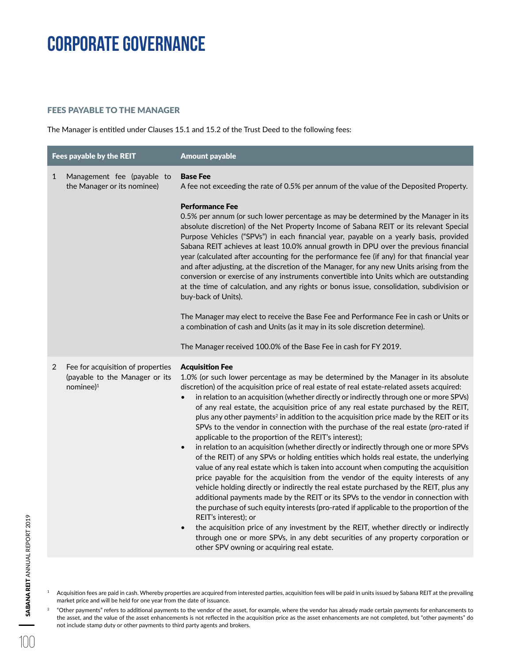### FEES PAYABLE TO THE MANAGER

The Manager is entitled under Clauses 15.1 and 15.2 of the Trust Deed to the following fees:

| Fees payable by the REIT                                                                               | <b>Amount payable</b>                                                                                                                                                                                                                                                                                                                                                                                                                                                                                                                                                                                                                                                                                                                                                                                                                                                                                                                                                                                                                                                                                                                                                                                                                                                                                                                                                                                                                                                                                                                                                            |
|--------------------------------------------------------------------------------------------------------|----------------------------------------------------------------------------------------------------------------------------------------------------------------------------------------------------------------------------------------------------------------------------------------------------------------------------------------------------------------------------------------------------------------------------------------------------------------------------------------------------------------------------------------------------------------------------------------------------------------------------------------------------------------------------------------------------------------------------------------------------------------------------------------------------------------------------------------------------------------------------------------------------------------------------------------------------------------------------------------------------------------------------------------------------------------------------------------------------------------------------------------------------------------------------------------------------------------------------------------------------------------------------------------------------------------------------------------------------------------------------------------------------------------------------------------------------------------------------------------------------------------------------------------------------------------------------------|
| Management fee (payable to<br>1<br>the Manager or its nominee)                                         | <b>Base Fee</b><br>A fee not exceeding the rate of 0.5% per annum of the value of the Deposited Property.<br><b>Performance Fee</b><br>0.5% per annum (or such lower percentage as may be determined by the Manager in its<br>absolute discretion) of the Net Property Income of Sabana REIT or its relevant Special<br>Purpose Vehicles ("SPVs") in each financial year, payable on a yearly basis, provided<br>Sabana REIT achieves at least 10.0% annual growth in DPU over the previous financial<br>year (calculated after accounting for the performance fee (if any) for that financial year<br>and after adjusting, at the discretion of the Manager, for any new Units arising from the<br>conversion or exercise of any instruments convertible into Units which are outstanding<br>at the time of calculation, and any rights or bonus issue, consolidation, subdivision or<br>buy-back of Units).<br>The Manager may elect to receive the Base Fee and Performance Fee in cash or Units or<br>a combination of cash and Units (as it may in its sole discretion determine).                                                                                                                                                                                                                                                                                                                                                                                                                                                                                          |
|                                                                                                        | The Manager received 100.0% of the Base Fee in cash for FY 2019.                                                                                                                                                                                                                                                                                                                                                                                                                                                                                                                                                                                                                                                                                                                                                                                                                                                                                                                                                                                                                                                                                                                                                                                                                                                                                                                                                                                                                                                                                                                 |
| Fee for acquisition of properties<br>$\overline{2}$<br>(payable to the Manager or its<br>nominee $)^1$ | <b>Acquisition Fee</b><br>1.0% (or such lower percentage as may be determined by the Manager in its absolute<br>discretion) of the acquisition price of real estate of real estate-related assets acquired:<br>in relation to an acquisition (whether directly or indirectly through one or more SPVs)<br>$\bullet$<br>of any real estate, the acquisition price of any real estate purchased by the REIT,<br>plus any other payments <sup>2</sup> in addition to the acquisition price made by the REIT or its<br>SPVs to the vendor in connection with the purchase of the real estate (pro-rated if<br>applicable to the proportion of the REIT's interest);<br>in relation to an acquisition (whether directly or indirectly through one or more SPVs<br>$\bullet$<br>of the REIT) of any SPVs or holding entities which holds real estate, the underlying<br>value of any real estate which is taken into account when computing the acquisition<br>price payable for the acquisition from the vendor of the equity interests of any<br>vehicle holding directly or indirectly the real estate purchased by the REIT, plus any<br>additional payments made by the REIT or its SPVs to the vendor in connection with<br>the purchase of such equity interests (pro-rated if applicable to the proportion of the<br>REIT's interest); or<br>the acquisition price of any investment by the REIT, whether directly or indirectly<br>$\bullet$<br>through one or more SPVs, in any debt securities of any property corporation or<br>other SPV owning or acquiring real estate. |

<sup>1</sup> Acquisition fees are paid in cash. Whereby properties are acquired from interested parties, acquisition fees will be paid in units issued by Sabana REIT at the prevailing market price and will be held for one year from the date of issuance.

 $2$  "Other payments" refers to additional payments to the vendor of the asset, for example, where the vendor has already made certain payments for enhancements to the asset, and the value of the asset enhancements is not reflected in the acquisition price as the asset enhancements are not completed, but "other payments" do not include stamp duty or other payments to third party agents and brokers.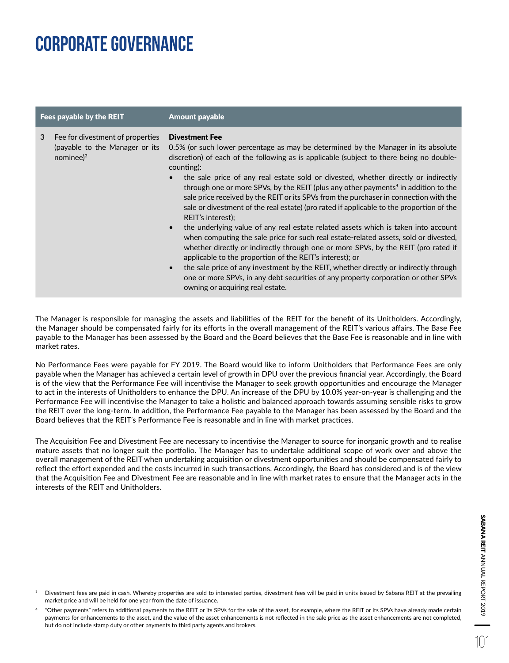| Fees payable by the REIT |                                                                                     | <b>Amount payable</b>                                                                                                                                                                                                                                                                                                                                                                                                                                                                                                                                                                                                                                                                                                                                                                                                                                                                                                                                                                                                                                                                                                                                                                                            |  |  |  |
|--------------------------|-------------------------------------------------------------------------------------|------------------------------------------------------------------------------------------------------------------------------------------------------------------------------------------------------------------------------------------------------------------------------------------------------------------------------------------------------------------------------------------------------------------------------------------------------------------------------------------------------------------------------------------------------------------------------------------------------------------------------------------------------------------------------------------------------------------------------------------------------------------------------------------------------------------------------------------------------------------------------------------------------------------------------------------------------------------------------------------------------------------------------------------------------------------------------------------------------------------------------------------------------------------------------------------------------------------|--|--|--|
| 3                        | Fee for divestment of properties<br>(payable to the Manager or its<br>nominee $)^3$ | <b>Divestment Fee</b><br>0.5% (or such lower percentage as may be determined by the Manager in its absolute<br>discretion) of each of the following as is applicable (subject to there being no double-<br>counting):<br>the sale price of any real estate sold or divested, whether directly or indirectly<br>$\bullet$<br>through one or more SPVs, by the REIT (plus any other payments <sup>4</sup> in addition to the<br>sale price received by the REIT or its SPVs from the purchaser in connection with the<br>sale or divestment of the real estate) (pro rated if applicable to the proportion of the<br>REIT's interest):<br>the underlying value of any real estate related assets which is taken into account<br>$\bullet$<br>when computing the sale price for such real estate-related assets, sold or divested,<br>whether directly or indirectly through one or more SPVs, by the REIT (pro rated if<br>applicable to the proportion of the REIT's interest); or<br>the sale price of any investment by the REIT, whether directly or indirectly through<br>$\bullet$<br>one or more SPVs, in any debt securities of any property corporation or other SPVs<br>owning or acquiring real estate. |  |  |  |

The Manager is responsible for managing the assets and liabilities of the REIT for the benefit of its Unitholders. Accordingly, the Manager should be compensated fairly for its efforts in the overall management of the REIT's various affairs. The Base Fee payable to the Manager has been assessed by the Board and the Board believes that the Base Fee is reasonable and in line with market rates.

No Performance Fees were payable for FY 2019. The Board would like to inform Unitholders that Performance Fees are only payable when the Manager has achieved a certain level of growth in DPU over the previous financial year. Accordingly, the Board is of the view that the Performance Fee will incentivise the Manager to seek growth opportunities and encourage the Manager to act in the interests of Unitholders to enhance the DPU. An increase of the DPU by 10.0% year-on-year is challenging and the Performance Fee will incentivise the Manager to take a holistic and balanced approach towards assuming sensible risks to grow the REIT over the long-term. In addition, the Performance Fee payable to the Manager has been assessed by the Board and the Board believes that the REIT's Performance Fee is reasonable and in line with market practices.

The Acquisition Fee and Divestment Fee are necessary to incentivise the Manager to source for inorganic growth and to realise mature assets that no longer suit the portfolio. The Manager has to undertake additional scope of work over and above the overall management of the REIT when undertaking acquisition or divestment opportunities and should be compensated fairly to reflect the effort expended and the costs incurred in such transactions. Accordingly, the Board has considered and is of the view that the Acquisition Fee and Divestment Fee are reasonable and in line with market rates to ensure that the Manager acts in the interests of the REIT and Unitholders.

Divestment fees are paid in cash. Whereby properties are sold to interested parties, divestment fees will be paid in units issued by Sabana REIT at the prevailing market price and will be held for one year from the date of issuance.

<sup>4</sup>"Other payments" refers to additional payments to the REIT or its SPVs for the sale of the asset, for example, where the REIT or its SPVs have already made certain payments for enhancements to the asset, and the value of the asset enhancements is not reflected in the sale price as the asset enhancements are not completed, but do not include stamp duty or other payments to third party agents and brokers.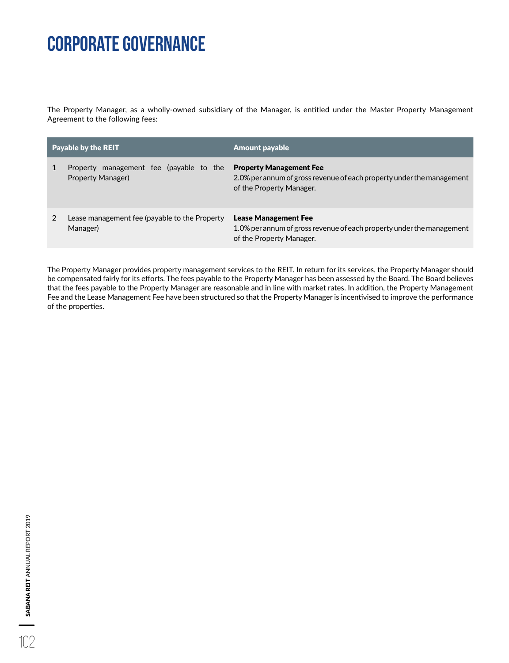The Property Manager, as a wholly-owned subsidiary of the Manager, is entitled under the Master Property Management Agreement to the following fees:

| <b>Payable by the REIT</b>                                   | <b>Amount payable</b>                                                                                                               |  |  |  |
|--------------------------------------------------------------|-------------------------------------------------------------------------------------------------------------------------------------|--|--|--|
| Property management fee (payable to the<br>Property Manager) | <b>Property Management Fee</b><br>2.0% per annum of gross revenue of each property under the management<br>of the Property Manager. |  |  |  |
| Lease management fee (payable to the Property<br>Manager)    | <b>Lease Management Fee</b><br>1.0% per annum of gross revenue of each property under the management<br>of the Property Manager.    |  |  |  |

The Property Manager provides property management services to the REIT. In return for its services, the Property Manager should be compensated fairly for its efforts. The fees payable to the Property Manager has been assessed by the Board. The Board believes that the fees payable to the Property Manager are reasonable and in line with market rates. In addition, the Property Management Fee and the Lease Management Fee have been structured so that the Property Manager is incentivised to improve the performance of the properties.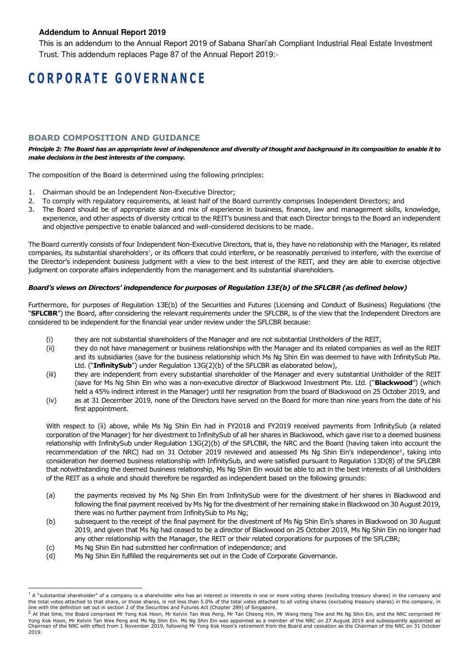### **Addendum to Annual Report 2019**

This is an addendum to the Annual Report 2019 of Sabana Shari'ah Compliant Industrial Real Estate Investment Trust. This addendum replaces Page 87 of the Annual Report 2019:-

## **C O R P O R A T E G O V E R N A N C E**

### **BOARD COMPOSITION AND GUIDANCE**

*Principle 2: The Board has an appropriate level of independence and diversity of thought and background in its composition to enable it to make decisions in the best interests of the company.* 

The composition of the Board is determined using the following principles:

- 1. Chairman should be an Independent Non-Executive Director;
- 2. To comply with regulatory requirements, at least half of the Board currently comprises Independent Directors; and
- 3. The Board should be of appropriate size and mix of experience in business, finance, law and management skills, knowledge, experience, and other aspects of diversity critical to the REIT's business and that each Director brings to the Board an independent and objective perspective to enable balanced and well-considered decisions to be made.

The Board currently consists of four Independent Non-Executive Directors, that is, they have no relationship with the Manager, its related companies, its substantial shareholders<sup>1</sup>, or its officers that could interfere, or be reasonably perceived to interfere, with the exercise of the Director's independent business judgment with a view to the best interest of the REIT, and they are able to exercise objective judgment on corporate affairs independently from the management and its substantial shareholders.

#### *Board's views on Directors' independence for purposes of Regulation 13E(b) of the SFLCBR (as defined below)*

Furthermore, for purposes of Regulation 13E(b) of the Securities and Futures (Licensing and Conduct of Business) Regulations (the "**SFLCBR**") the Board, after considering the relevant requirements under the SFLCBR, is of the view that the Independent Directors are considered to be independent for the financial year under review under the SFLCBR because:

- (i) they are not substantial shareholders of the Manager and are not substantial Unitholders of the REIT,
- (ii) they do not have management or business relationships with the Manager and its related companies as well as the REIT and its subsidiaries (save for the business relationship which Ms Ng Shin Ein was deemed to have with InfinitySub Pte. Ltd. ("**InfinitySub**") under Regulation 13G(2)(b) of the SFLCBR as elaborated below),
- (iii) they are independent from every substantial shareholder of the Manager and every substantial Unitholder of the REIT (save for Ms Ng Shin Ein who was a non-executive director of Blackwood Investment Pte. Ltd. ("**Blackwood**") (which held a 45% indirect interest in the Manager) until her resignation from the board of Blackwood on 25 October 2019, and
- (iv) as at 31 December 2019, none of the Directors have served on the Board for more than nine years from the date of his first appointment.

With respect to (ii) above, while Ms Ng Shin Ein had in FY2018 and FY2019 received payments from InfinitySub (a related corporation of the Manager) for her divestment to InfinitySub of all her shares in Blackwood, which gave rise to a deemed business relationship with InfinitySub under Regulation 13G(2)(b) of the SFLCBR, the NRC and the Board (having taken into account the recommendation of the NRC) had on 31 October 2019 reviewed and assessed Ms Ng Shin Ein's independence<sup>2</sup>, taking into consideration her deemed business relationship with InfinitySub, and were satisfied pursuant to Regulation 13D(8) of the SFLCBR that notwithstanding the deemed business relationship, Ms Ng Shin Ein would be able to act in the best interests of all Unitholders of the REIT as a whole and should therefore be regarded as independent based on the following grounds:

- (a) the payments received by Ms Ng Shin Ein from InfinitySub were for the divestment of her shares in Blackwood and following the final payment received by Ms Ng for the divestment of her remaining stake in Blackwood on 30 August 2019, there was no further payment from InfinitySub to Ms Ng;
- (b) subsequent to the receipt of the final payment for the divestment of Ms Ng Shin Ein's shares in Blackwood on 30 August 2019, and given that Ms Ng had ceased to be a director of Blackwood on 25 October 2019, Ms Ng Shin Ein no longer had any other relationship with the Manager, the REIT or their related corporations for purposes of the SFLCBR;
- (c) Ms Ng Shin Ein had submitted her confirmation of independence; and
- (d) Ms Ng Shin Ein fulfilled the requirements set out in the Code of Corporate Governance.

<sup>&</sup>lt;sup>1</sup> A "substantial shareholder" of a company is a shareholder who has an interest or interests in one or more voting shares (excluding treasury shares) in the company and<br>the total votes attached to that share, or those sh line with the definition set out in section 2 of the Securities and Futures Act (Chapter 289) of Singapore.<br><sup>2</sup> At that time, the Beard comprised Mr Yong Kek Hoop, Mr Kelvin Tap Wee Beag, Mr Tap Cheeng Hip.

At that time, the Board comprised Mr Yong Kok Hoon, Mr Kelvin Tan Wee Peng, Mr Tan Cheong Hin, Mr Wong Heng Tew and Ms Ng Shin Ein, and the NRC comprised Mr Yong Kok Hoon, Mr Kelvin Tan Wee Peng and Ms Ng Shin Ein. Ms Ng Shin Ein was appointed as a member of the NRC on 27 August 2019 and subsequently appointed as Chairman of the NRC with effect from 1 November 2019, following Mr Yong Kok Hoon's retirement from the Board and cessation as the Chairman of the NRC on 31 October 2019.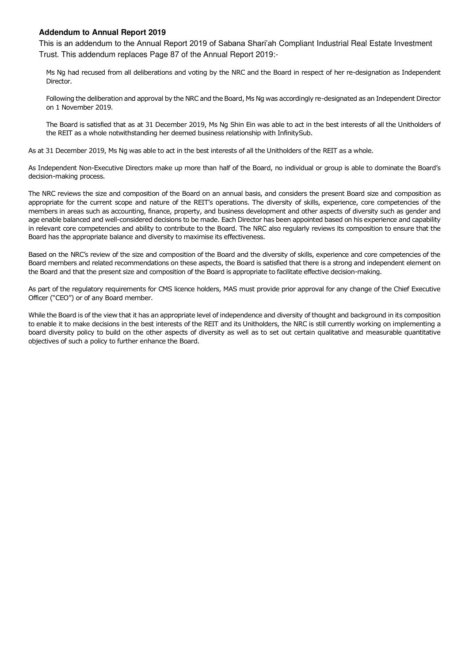### **Addendum to Annual Report 2019**

This is an addendum to the Annual Report 2019 of Sabana Shari'ah Compliant Industrial Real Estate Investment Trust. This addendum replaces Page 87 of the Annual Report 2019:-

Ms Ng had recused from all deliberations and voting by the NRC and the Board in respect of her re-designation as Independent Director.

Following the deliberation and approval by the NRC and the Board, Ms Ng was accordingly re-designated as an Independent Director on 1 November 2019.

The Board is satisfied that as at 31 December 2019, Ms Ng Shin Ein was able to act in the best interests of all the Unitholders of the REIT as a whole notwithstanding her deemed business relationship with InfinitySub.

As at 31 December 2019, Ms Ng was able to act in the best interests of all the Unitholders of the REIT as a whole.

As Independent Non-Executive Directors make up more than half of the Board, no individual or group is able to dominate the Board's decision-making process.

The NRC reviews the size and composition of the Board on an annual basis, and considers the present Board size and composition as appropriate for the current scope and nature of the REIT's operations. The diversity of skills, experience, core competencies of the members in areas such as accounting, finance, property, and business development and other aspects of diversity such as gender and age enable balanced and well-considered decisions to be made. Each Director has been appointed based on his experience and capability in relevant core competencies and ability to contribute to the Board. The NRC also regularly reviews its composition to ensure that the Board has the appropriate balance and diversity to maximise its effectiveness.

Based on the NRC's review of the size and composition of the Board and the diversity of skills, experience and core competencies of the Board members and related recommendations on these aspects, the Board is satisfied that there is a strong and independent element on the Board and that the present size and composition of the Board is appropriate to facilitate effective decision-making.

As part of the regulatory requirements for CMS licence holders, MAS must provide prior approval for any change of the Chief Executive Officer ("CEO") or of any Board member.

While the Board is of the view that it has an appropriate level of independence and diversity of thought and background in its composition to enable it to make decisions in the best interests of the REIT and its Unitholders, the NRC is still currently working on implementing a board diversity policy to build on the other aspects of diversity as well as to set out certain qualitative and measurable quantitative objectives of such a policy to further enhance the Board.